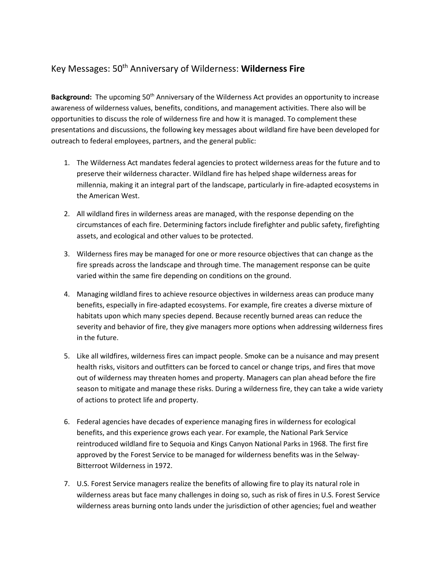## Key Messages: 50th Anniversary of Wilderness: **Wilderness Fire**

Background: The upcoming 50<sup>th</sup> Anniversary of the Wilderness Act provides an opportunity to increase awareness of wilderness values, benefits, conditions, and management activities. There also will be opportunities to discuss the role of wilderness fire and how it is managed. To complement these presentations and discussions, the following key messages about wildland fire have been developed for outreach to federal employees, partners, and the general public:

- 1. The Wilderness Act mandates federal agencies to protect wilderness areas for the future and to preserve their wilderness character. Wildland fire has helped shape wilderness areas for millennia, making it an integral part of the landscape, particularly in fire-adapted ecosystems in the American West.
- 2. All wildland fires in wilderness areas are managed, with the response depending on the circumstances of each fire. Determining factors include firefighter and public safety, firefighting assets, and ecological and other values to be protected.
- 3. Wilderness fires may be managed for one or more resource objectives that can change as the fire spreads across the landscape and through time. The management response can be quite varied within the same fire depending on conditions on the ground.
- 4. Managing wildland fires to achieve resource objectives in wilderness areas can produce many benefits, especially in fire-adapted ecosystems. For example, fire creates a diverse mixture of habitats upon which many species depend. Because recently burned areas can reduce the severity and behavior of fire, they give managers more options when addressing wilderness fires in the future.
- 5. Like all wildfires, wilderness fires can impact people. Smoke can be a nuisance and may present health risks, visitors and outfitters can be forced to cancel or change trips, and fires that move out of wilderness may threaten homes and property. Managers can plan ahead before the fire season to mitigate and manage these risks. During a wilderness fire, they can take a wide variety of actions to protect life and property.
- 6. Federal agencies have decades of experience managing fires in wilderness for ecological benefits, and this experience grows each year. For example, the National Park Service reintroduced wildland fire to Sequoia and Kings Canyon National Parks in 1968. The first fire approved by the Forest Service to be managed for wilderness benefits was in the Selway-Bitterroot Wilderness in 1972.
- 7. U.S. Forest Service managers realize the benefits of allowing fire to play its natural role in wilderness areas but face many challenges in doing so, such as risk of fires in U.S. Forest Service wilderness areas burning onto lands under the jurisdiction of other agencies; fuel and weather